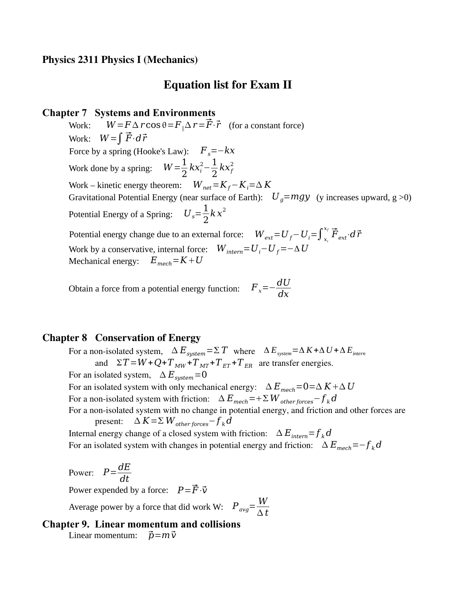## Equation list for Exam II

#### **Chapter 7 Systems and Environments**

Work:  $W = F \Delta r \cos \theta = F_{\parallel} \Delta r = \vec{F} \cdot \vec{r}$  (for a constant force) Work: *W*<sup>=</sup>∫ *F*⋅*d<sup>r</sup>* Force by a spring (Hooke's Law):  $F_s = -kx$ Work done by a spring:  $W = \frac{1}{2}$  $\frac{1}{2}kx_i^2 - \frac{1}{2}$  $rac{1}{2}kx_f^2$ Work – kinetic energy theorem:  $W_{net} = K_f - K_i = \Delta K$ Gravitational Potential Energy (near surface of Earth):  $U_a = mgy$  (y increases upward, g  $>0$ ) Potential Energy of a Spring: 1 2  $kx^2$ Potential energy change due to an external force:  $W_{ext}$ = $U_f$ – $U_i$ = $\int_{x_i}^{x_f} \vec{F}_{ext} \cdot d\vec{r}$ Work by a conservative, internal force:  $W_{\text{interm}} = U_i - U_f = -\Delta U$ Mechanical energy:  $E_{mech} = K + U$ 

Obtain a force from a potential energy function:  $F_x = -\frac{dU}{dx}$ *dx*

### Chapter 8 Conservation of Energy

For a non-isolated system,  $\Delta E_{system} = \Sigma T$  where  $\Delta E_{system} = \Delta K + \Delta U + \Delta E_{intern}$ and  $\Sigma T = W + Q + T_{MW} + T_{MT} + T_{ET} + T_{ER}$  are transfer energies. For an isolated system,  $\Delta E_{system} = 0$ For an isolated system with only mechanical energy:  $\Delta E_{mech} = 0 = \Delta K + \Delta U$ For a non-isolated system with friction:  $\Delta E_{mech} = + \Sigma W_{other \, forces} - f_k d$ For a non-isolated system with no change in potential energy, and friction and other forces are present:  $\Delta K = \Sigma W_{other forces} - f_k d$ Internal energy change of a closed system with friction:  $\Delta E_{inter} = f_k d$ For an isolated system with changes in potential energy and friction:  $\Delta E_{mech} = -f_k d$ 

*t*

Power:  $P = \frac{dE}{dt}$ *dt* Power expended by a force:  $P = \vec{F} \cdot \vec{v}$ Average power by a force that did work W:  $P_{avg} = \frac{W}{\Delta t}$ 

**Chapter 9. Linear momentum and collisions** Linear momentum:  $\vec{p} = m \vec{v}$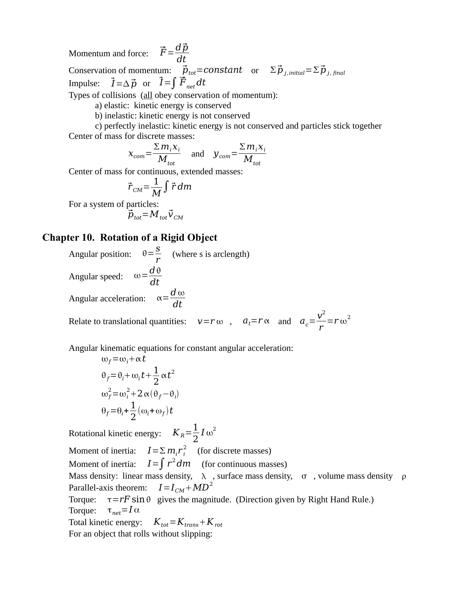Momentum and force:  $\vec{F} = \frac{d\vec{p}}{dt}$ *dt* Conservation of momentum:  $\vec{p}_{tot}$ =constant or  $\Sigma \vec{p}_{i,initial} = \Sigma \vec{p}_{i, final}$ Impulse:  $\vec{I} = \Delta \vec{p}$  or  $\vec{I} = \int \vec{F}_{net} dt$ Types of collisions (all obey conservation of momentum):

a) elastic: kinetic energy is conserved

b) inelastic: kinetic energy is not conserved

c) perfectly inelastic: kinetic energy is not conserved and particles stick together Center of mass for discrete masses:

$$
X_{com} = \frac{\sum m_i X_i}{M_{tot}} \quad \text{and} \quad Y_{com} = \frac{\sum m_i X_i}{M_{tot}}
$$

Center of mass for continuous, extended masses:

$$
\vec{r}_{CM} = \frac{1}{M} \int \vec{r} \, dm
$$

For a system of particles:

$$
\vec{p}_{\text{tot}} = M_{\text{tot}} \vec{v}_{\text{CM}}
$$

#### **Chapter 10. Rotation of a Rigid Object**

Angular position:  $\theta = \frac{S}{\sigma^2}$  $\frac{5}{r}$  (where s is arclength) Angular speed:  $\omega = \frac{d\theta}{dt}$ *dt* Angular acceleration:  $\alpha = \frac{d \omega}{dt}$ *dt*

Relate to translational quantities:  $v = r \omega$ ,  $a_t = r \alpha$  and  $a_c = \frac{v^2}{r}$ *r*  $= r \omega^2$ 

Angular kinematic equations for constant angular acceleration:

$$
\omega_f = \omega_i + \alpha t
$$
  
\n
$$
\theta_f = \theta_i + \omega_i t + \frac{1}{2} \alpha t^2
$$
  
\n
$$
\omega_f^2 = \omega_i^2 + 2 \alpha (\theta_f - \theta_i)
$$
  
\n
$$
\theta_f = \theta_i + \frac{1}{2} (\omega_i + \omega_f) t
$$

Rotational kinetic energy:  $K_R = \frac{1}{2}$ 2  $I \omega^2$ 

Moment of inertia:  $I \!=\! \Sigma\, m_i r_i^2 \quad \text{(for discrete masses)}$ Moment of inertia: *I*<sup>=</sup>∫*<sup>r</sup>* 2 *dm* (for continuous masses) Mass density: linear mass density,  $\lambda$ , surface mass density,  $\sigma$ , volume mass density  $\rho$ Parallel-axis theorem:  $I = I_{CM} + M D^2$ Torque:  $\tau = rF \sin \theta$  gives the magnitude. (Direction given by Right Hand Rule.)

Torque:  $\tau_{net} = I \alpha$ 

Total kinetic energy:  $K_{tot} = K_{trans} + K_{rot}$ 

For an object that rolls without slipping: